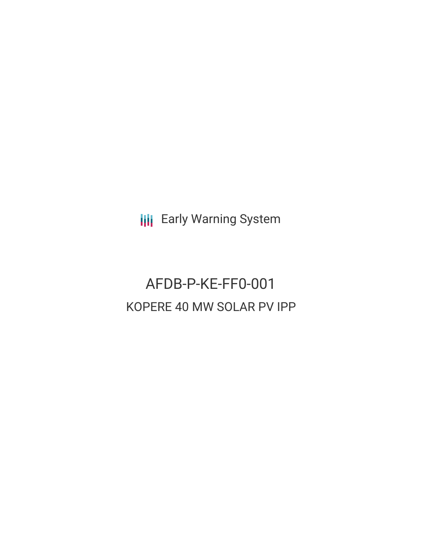**III** Early Warning System

# AFDB-P-KE-FF0-001 KOPERE 40 MW SOLAR PV IPP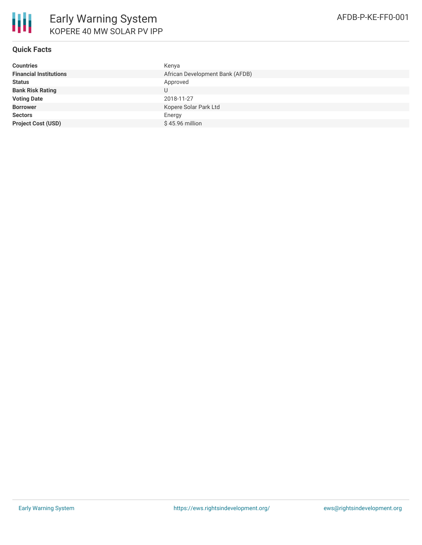

## **Quick Facts**

| <b>Countries</b>              | Kenya                           |
|-------------------------------|---------------------------------|
| <b>Financial Institutions</b> | African Development Bank (AFDB) |
| <b>Status</b>                 | Approved                        |
| <b>Bank Risk Rating</b>       |                                 |
| <b>Voting Date</b>            | 2018-11-27                      |
| <b>Borrower</b>               | Kopere Solar Park Ltd           |
| <b>Sectors</b>                | Energy                          |
| <b>Project Cost (USD)</b>     | $$45.96$ million                |
|                               |                                 |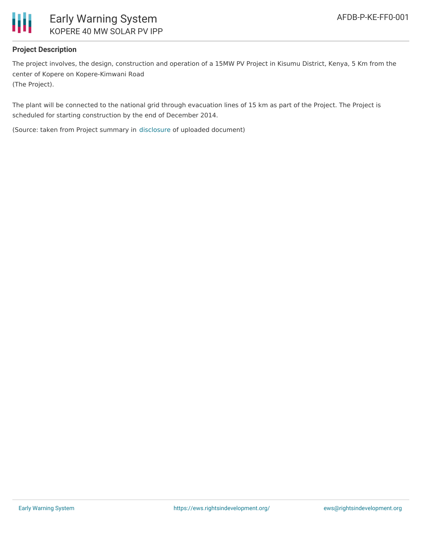

# **Project Description**

The project involves, the design, construction and operation of a 15MW PV Project in Kisumu District, Kenya, 5 Km from the center of Kopere on Kopere-Kimwani Road (The Project).

The plant will be connected to the national grid through evacuation lines of 15 km as part of the Project. The Project is scheduled for starting construction by the end of December 2014.

(Source: taken from Project summary in [disclosure](https://www.afdb.org/en/documents/document/project-summary-note-kopere-40-mw-solar-pv-ipp-107312) of uploaded document)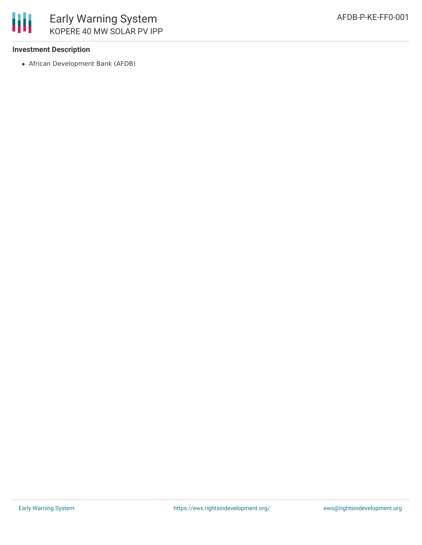

# **Investment Description**

African Development Bank (AFDB)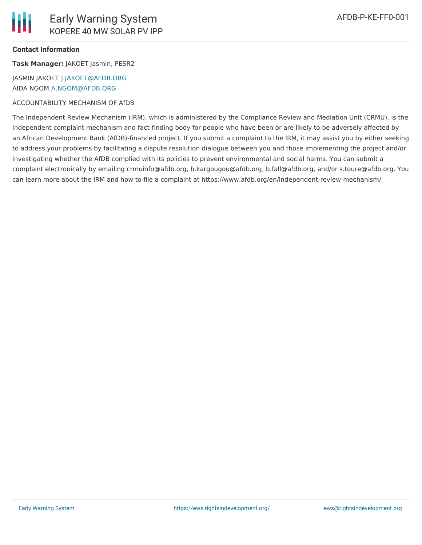### **Contact Information**

**Task Manager:** JAKOET Jasmin, PESR2

JASMIN JAKOET [J.JAKOET@AFDB.ORG](mailto:J.JAKOET@AFDB.ORG) AIDA NGOM [A.NGOM@AFDB.ORG](mailto:A.NGOM@AFDB.ORG)

#### ACCOUNTABILITY MECHANISM OF AfDB

The Independent Review Mechanism (IRM), which is administered by the Compliance Review and Mediation Unit (CRMU), is the independent complaint mechanism and fact-finding body for people who have been or are likely to be adversely affected by an African Development Bank (AfDB)-financed project. If you submit a complaint to the IRM, it may assist you by either seeking to address your problems by facilitating a dispute resolution dialogue between you and those implementing the project and/or investigating whether the AfDB complied with its policies to prevent environmental and social harms. You can submit a complaint electronically by emailing crmuinfo@afdb.org, b.kargougou@afdb.org, b.fall@afdb.org, and/or s.toure@afdb.org. You can learn more about the IRM and how to file a complaint at https://www.afdb.org/en/independent-review-mechanism/.